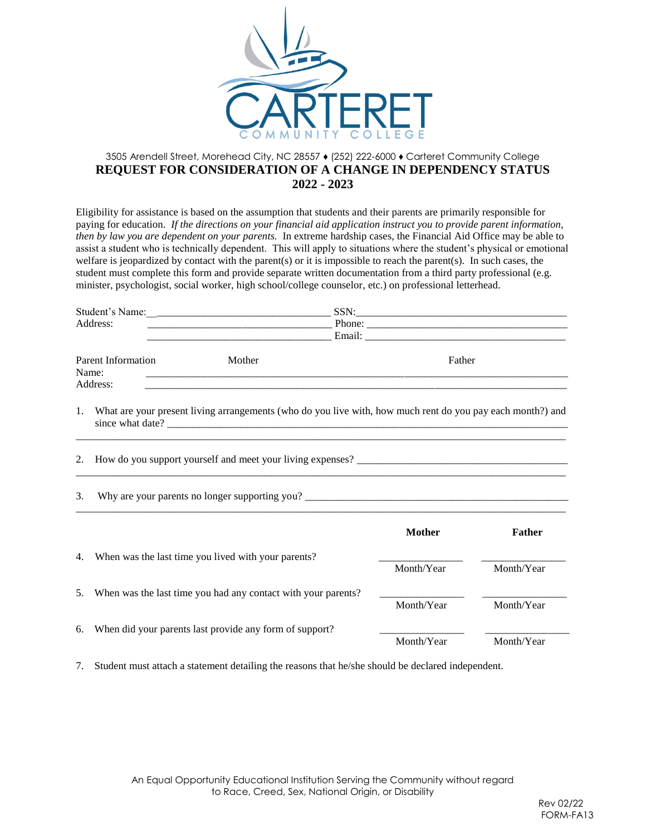

## 3505 Arendell Street, Morehead City, NC 28557 ♦ (252) 222-6000 ♦ [Carteret](http://www.carteret.edu/) Community College **REQUEST FOR CONSIDERATION OF A CHANGE IN DEPENDENCY STATUS 2022 - 2023**

Eligibility for assistance is based on the assumption that students and their parents are primarily responsible for paying for education. *If the directions on your financial aid application instruct you to provide parent information, then by law you are dependent on your parents.* In extreme hardship cases, the Financial Aid Office may be able to assist a student who is technically dependent. This will apply to situations where the student's physical or emotional welfare is jeopardized by contact with the parent(s) or it is impossible to reach the parent(s). In such cases, the student must complete this form and provide separate written documentation from a third party professional (e.g. minister, psychologist, social worker, high school/college counselor, etc.) on professional letterhead.

|                                    |        |        | SSN:                                                                                                            |  |  |
|------------------------------------|--------|--------|-----------------------------------------------------------------------------------------------------------------|--|--|
| Address:                           |        | Phone: |                                                                                                                 |  |  |
|                                    |        |        | Email: The Commission of the Commission of the Commission of the Commission of the Commission of the Commission |  |  |
| <b>Parent Information</b><br>Name: | Mother |        | Father                                                                                                          |  |  |
| Address:                           |        |        |                                                                                                                 |  |  |

1. What are your present living arrangements (who do you live with, how much rent do you pay each month?) and since what date? \_\_\_\_\_\_\_\_\_\_\_\_\_\_\_\_\_\_\_\_\_\_\_\_\_\_\_\_\_\_\_\_\_\_\_\_\_\_\_\_\_\_\_\_\_\_\_\_\_\_\_\_\_\_\_\_\_\_\_\_\_\_\_\_\_\_\_\_\_\_\_\_\_\_\_\_  $\_$  ,  $\_$  ,  $\_$  ,  $\_$  ,  $\_$  ,  $\_$  ,  $\_$  ,  $\_$  ,  $\_$  ,  $\_$  ,  $\_$  ,  $\_$  ,  $\_$  ,  $\_$  ,  $\_$  ,  $\_$  ,  $\_$  ,  $\_$  ,  $\_$  ,  $\_$  ,  $\_$  ,  $\_$  ,  $\_$  ,  $\_$  ,  $\_$  ,  $\_$  ,  $\_$  ,  $\_$  ,  $\_$  ,  $\_$  ,  $\_$  ,  $\_$  ,  $\_$  ,  $\_$  ,  $\_$  ,  $\_$  ,  $\_$  ,

\_\_\_\_\_\_\_\_\_\_\_\_\_\_\_\_\_\_\_\_\_\_\_\_\_\_\_\_\_\_\_\_\_\_\_\_\_\_\_\_\_\_\_\_\_\_\_\_\_\_\_\_\_\_\_\_\_\_\_\_\_\_\_\_\_\_\_\_\_\_\_\_\_\_\_\_\_\_\_\_\_\_\_\_\_\_\_\_\_\_\_\_\_

 $\_$  ,  $\_$  ,  $\_$  ,  $\_$  ,  $\_$  ,  $\_$  ,  $\_$  ,  $\_$  ,  $\_$  ,  $\_$  ,  $\_$  ,  $\_$  ,  $\_$  ,  $\_$  ,  $\_$  ,  $\_$  ,  $\_$  ,  $\_$  ,  $\_$  ,  $\_$  ,  $\_$  ,  $\_$  ,  $\_$  ,  $\_$  ,  $\_$  ,  $\_$  ,  $\_$  ,  $\_$  ,  $\_$  ,  $\_$  ,  $\_$  ,  $\_$  ,  $\_$  ,  $\_$  ,  $\_$  ,  $\_$  ,  $\_$  ,

2. How do you support yourself and meet your living expenses?

3. Why are your parents no longer supporting you? \_\_\_\_\_\_\_\_\_\_\_\_\_\_\_\_\_\_\_\_\_\_\_\_\_\_\_\_\_\_\_\_\_\_\_\_\_\_\_\_\_\_\_\_\_\_\_\_\_\_

|    |                                                               | <b>Mother</b> | Father     |
|----|---------------------------------------------------------------|---------------|------------|
| 4. | When was the last time you lived with your parents?           | Month/Year    | Month/Year |
| 5. | When was the last time you had any contact with your parents? | Month/Year    | Month/Year |
| 6. | When did your parents last provide any form of support?       | Month/Year    | Month/Year |

7. Student must attach a statement detailing the reasons that he/she should be declared independent.